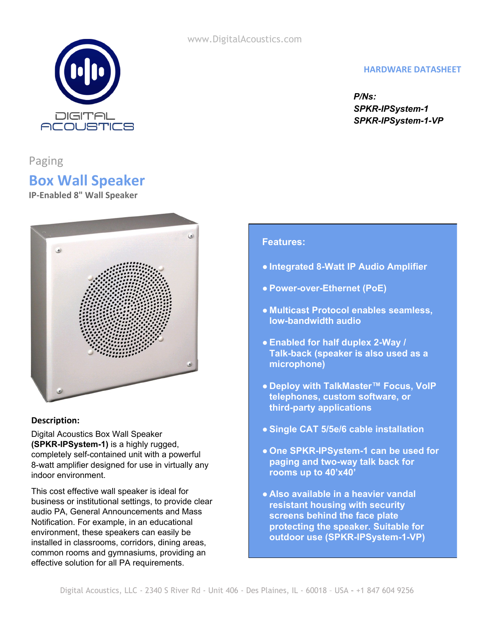

#### **HARDWARE DATASHEET**

*P/Ns: SPKR-IPSystem-1 SPKR-IPSystem-1-VP*

Paging

# **Box Wall Speaker**

**IP-Enabled 8" Wall Speaker**



#### **Description:**

Digital Acoustics Box Wall Speaker **(SPKR-IPSystem-1)** is a highly rugged, completely self-contained unit with a powerful 8-watt amplifier designed for use in virtually any indoor environment.

This cost effective wall speaker is ideal for business or institutional settings, to provide clear audio PA, General Announcements and Mass Notification. For example, in an educational environment, these speakers can easily be installed in classrooms, corridors, dining areas, common rooms and gymnasiums, providing an effective solution for all PA requirements.

### **Features:**

- **● Integrated 8-Watt IP Audio Amplifier**
- **● Power-over-Ethernet (PoE)**
- **● Multicast Protocol enables seamless, low-bandwidth audio**
- **● Enabled for half duplex 2-Way / Talk-back (speaker is also used as a microphone)**
- **● Deploy with TalkMaster™ Focus, VoIP telephones, custom software, or third-party applications**
- **● Single CAT 5/5e/6 cable installation**
- **● One SPKR-IPSystem-1 can be used for paging and two-way talk back for rooms up to 40'x40'**
- **● Also available in a heavier vandal resistant housing with security screens behind the face plate protecting the speaker. Suitable for outdoor use (SPKR-IPSystem-1-VP)**